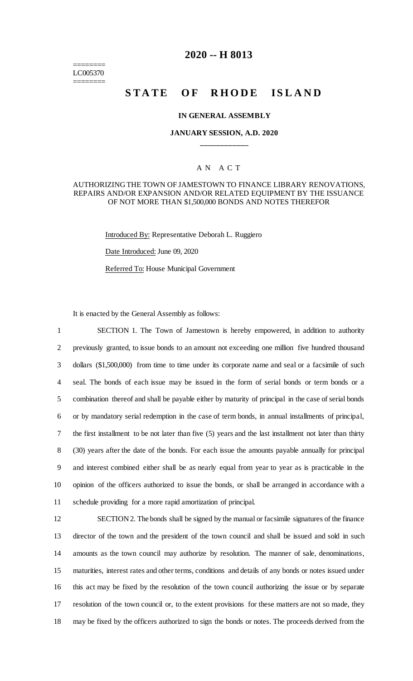======== LC005370 ========

# **2020 -- H 8013**

# **STATE OF RHODE ISLAND**

#### **IN GENERAL ASSEMBLY**

## **JANUARY SESSION, A.D. 2020 \_\_\_\_\_\_\_\_\_\_\_\_**

# A N A C T

### AUTHORIZING THE TOWN OF JAMESTOWN TO FINANCE LIBRARY RENOVATIONS, REPAIRS AND/OR EXPANSION AND/OR RELATED EQUIPMENT BY THE ISSUANCE OF NOT MORE THAN \$1,500,000 BONDS AND NOTES THEREFOR

Introduced By: Representative Deborah L. Ruggiero

Date Introduced: June 09, 2020

Referred To: House Municipal Government

It is enacted by the General Assembly as follows:

 SECTION 1. The Town of Jamestown is hereby empowered, in addition to authority previously granted, to issue bonds to an amount not exceeding one million five hundred thousand dollars (\$1,500,000) from time to time under its corporate name and seal or a facsimile of such seal. The bonds of each issue may be issued in the form of serial bonds or term bonds or a combination thereof and shall be payable either by maturity of principal in the case of serial bonds or by mandatory serial redemption in the case of term bonds, in annual installments of principal, the first installment to be not later than five (5) years and the last installment not later than thirty (30) years after the date of the bonds. For each issue the amounts payable annually for principal and interest combined either shall be as nearly equal from year to year as is practicable in the opinion of the officers authorized to issue the bonds, or shall be arranged in accordance with a schedule providing for a more rapid amortization of principal.

 SECTION 2. The bonds shall be signed by the manual or facsimile signatures of the finance director of the town and the president of the town council and shall be issued and sold in such amounts as the town council may authorize by resolution. The manner of sale, denominations, maturities, interest rates and other terms, conditions and details of any bonds or notes issued under this act may be fixed by the resolution of the town council authorizing the issue or by separate resolution of the town council or, to the extent provisions for these matters are not so made, they may be fixed by the officers authorized to sign the bonds or notes. The proceeds derived from the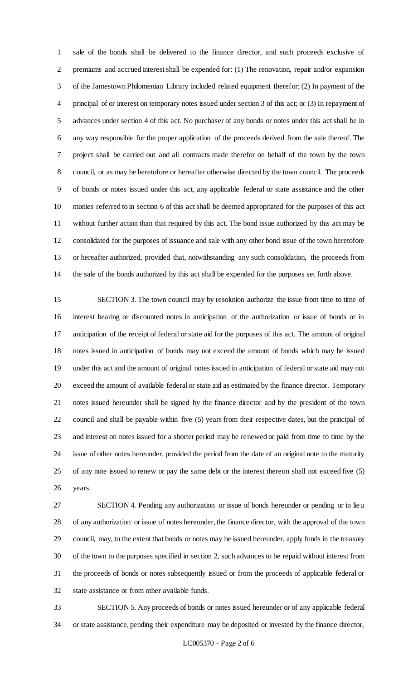sale of the bonds shall be delivered to the finance director, and such proceeds exclusive of premiums and accrued interest shall be expended for: (1) The renovation, repair and/or expansion of the Jamestown Philomenian Library included related equipment therefor; (2) In payment of the principal of or interest on temporary notes issued under section 3 of this act; or (3) In repayment of advances under section 4 of this act. No purchaser of any bonds or notes under this act shall be in any way responsible for the proper application of the proceeds derived from the sale thereof. The project shall be carried out and all contracts made therefor on behalf of the town by the town council, or as may be heretofore or hereafter otherwise directed by the town council. The proceeds of bonds or notes issued under this act, any applicable federal or state assistance and the other monies referred to in section 6 of this act shall be deemed appropriated for the purposes of this act without further action than that required by this act. The bond issue authorized by this act may be consolidated for the purposes of issuance and sale with any other bond issue of the town heretofore or hereafter authorized, provided that, notwithstanding any such consolidation, the proceeds from the sale of the bonds authorized by this act shall be expended for the purposes set forth above.

 SECTION 3. The town council may by resolution authorize the issue from time to time of interest bearing or discounted notes in anticipation of the authorization or issue of bonds or in anticipation of the receipt of federal or state aid for the purposes of this act. The amount of original notes issued in anticipation of bonds may not exceed the amount of bonds which may be issued under this act and the amount of original notes issued in anticipation of federal or state aid may not exceed the amount of available federal or state aid as estimated by the finance director. Temporary notes issued hereunder shall be signed by the finance director and by the president of the town council and shall be payable within five (5) years from their respective dates, but the principal of and interest on notes issued for a shorter period may be renewed or paid from time to time by the issue of other notes hereunder, provided the period from the date of an original note to the maturity of any note issued to renew or pay the same debt or the interest thereon shall not exceed five (5) years.

 SECTION 4. Pending any authorization or issue of bonds hereunder or pending or in lieu of any authorization or issue of notes hereunder, the finance director, with the approval of the town council, may, to the extent that bonds or notes may be issued hereunder, apply funds in the treasury of the town to the purposes specified in section 2, such advances to be repaid without interest from the proceeds of bonds or notes subsequently issued or from the proceeds of applicable federal or state assistance or from other available funds.

 SECTION 5. Any proceeds of bonds or notes issued hereunder or of any applicable federal or state assistance, pending their expenditure may be deposited or invested by the finance director,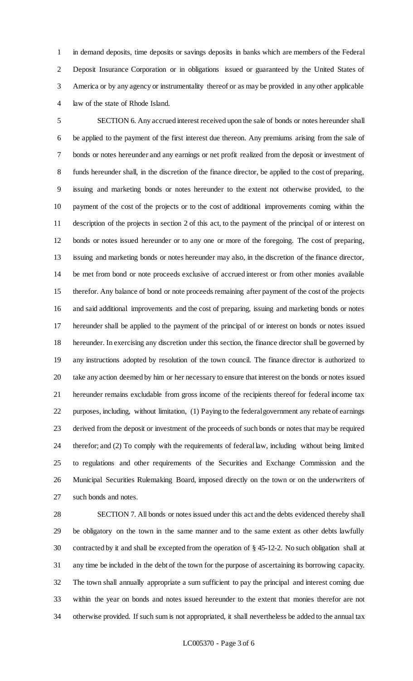in demand deposits, time deposits or savings deposits in banks which are members of the Federal Deposit Insurance Corporation or in obligations issued or guaranteed by the United States of America or by any agency or instrumentality thereof or as may be provided in any other applicable law of the state of Rhode Island.

 SECTION 6. Any accrued interest received upon the sale of bonds or notes hereunder shall be applied to the payment of the first interest due thereon. Any premiums arising from the sale of bonds or notes hereunder and any earnings or net profit realized from the deposit or investment of funds hereunder shall, in the discretion of the finance director, be applied to the cost of preparing, issuing and marketing bonds or notes hereunder to the extent not otherwise provided, to the payment of the cost of the projects or to the cost of additional improvements coming within the description of the projects in section 2 of this act, to the payment of the principal of or interest on bonds or notes issued hereunder or to any one or more of the foregoing. The cost of preparing, issuing and marketing bonds or notes hereunder may also, in the discretion of the finance director, be met from bond or note proceeds exclusive of accrued interest or from other monies available therefor. Any balance of bond or note proceeds remaining after payment of the cost of the projects and said additional improvements and the cost of preparing, issuing and marketing bonds or notes hereunder shall be applied to the payment of the principal of or interest on bonds or notes issued hereunder. In exercising any discretion under this section, the finance director shall be governed by any instructions adopted by resolution of the town council. The finance director is authorized to take any action deemed by him or her necessary to ensure that interest on the bonds or notes issued hereunder remains excludable from gross income of the recipients thereof for federal income tax purposes, including, without limitation, (1) Paying to the federal government any rebate of earnings derived from the deposit or investment of the proceeds of such bonds or notes that may be required therefor; and (2) To comply with the requirements of federal law, including without being limited to regulations and other requirements of the Securities and Exchange Commission and the Municipal Securities Rulemaking Board, imposed directly on the town or on the underwriters of such bonds and notes.

 SECTION 7. All bonds or notes issued under this act and the debts evidenced thereby shall be obligatory on the town in the same manner and to the same extent as other debts lawfully contracted by it and shall be excepted from the operation of § 45-12-2. No such obligation shall at any time be included in the debt of the town for the purpose of ascertaining its borrowing capacity. The town shall annually appropriate a sum sufficient to pay the principal and interest coming due within the year on bonds and notes issued hereunder to the extent that monies therefor are not otherwise provided. If such sum is not appropriated, it shall nevertheless be added to the annual tax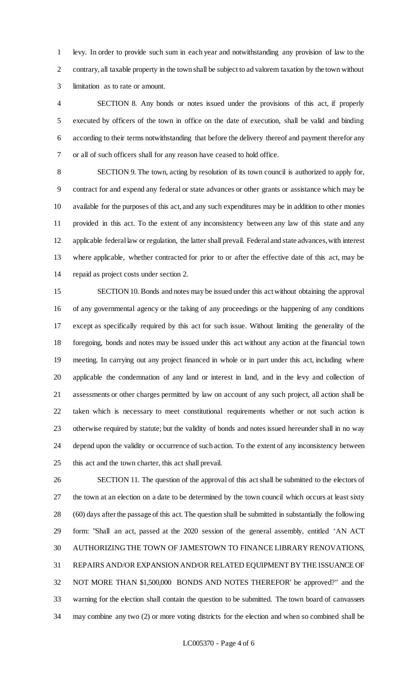levy. In order to provide such sum in each year and notwithstanding any provision of law to the contrary, all taxable property in the town shall be subject to ad valorem taxation by the town without limitation as to rate or amount.

 SECTION 8. Any bonds or notes issued under the provisions of this act, if properly executed by officers of the town in office on the date of execution, shall be valid and binding according to their terms notwithstanding that before the delivery thereof and payment therefor any or all of such officers shall for any reason have ceased to hold office.

 SECTION 9. The town, acting by resolution of its town council is authorized to apply for, contract for and expend any federal or state advances or other grants or assistance which may be available for the purposes of this act, and any such expenditures may be in addition to other monies provided in this act. To the extent of any inconsistency between any law of this state and any applicable federal law or regulation, the latter shall prevail. Federal and state advances, with interest where applicable, whether contracted for prior to or after the effective date of this act, may be repaid as project costs under section 2.

 SECTION 10. Bonds and notes may be issued under this act without obtaining the approval of any governmental agency or the taking of any proceedings or the happening of any conditions except as specifically required by this act for such issue. Without limiting the generality of the foregoing, bonds and notes may be issued under this act without any action at the financial town meeting. In carrying out any project financed in whole or in part under this act, including where applicable the condemnation of any land or interest in land, and in the levy and collection of assessments or other charges permitted by law on account of any such project, all action shall be taken which is necessary to meet constitutional requirements whether or not such action is otherwise required by statute; but the validity of bonds and notes issued hereunder shall in no way depend upon the validity or occurrence of such action. To the extent of any inconsistency between this act and the town charter, this act shall prevail.

 SECTION 11. The question of the approval of this act shall be submitted to the electors of the town at an election on a date to be determined by the town council which occurs at least sixty (60) days after the passage of this act. The question shall be submitted in substantially the following form: "Shall an act, passed at the 2020 session of the general assembly, entitled 'AN ACT AUTHORIZING THE TOWN OF JAMESTOWN TO FINANCE LIBRARY RENOVATIONS, REPAIRS AND/OR EXPANSION AND/OR RELATED EQUIPMENT BY THE ISSUANCE OF NOT MORE THAN \$1,500,000 BONDS AND NOTES THEREFOR' be approved?" and the warning for the election shall contain the question to be submitted. The town board of canvassers may combine any two (2) or more voting districts for the election and when so combined shall be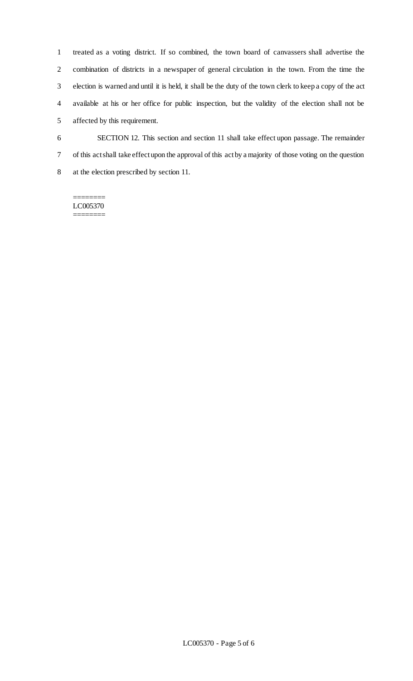treated as a voting district. If so combined, the town board of canvassers shall advertise the combination of districts in a newspaper of general circulation in the town. From the time the election is warned and until it is held, it shall be the duty of the town clerk to keep a copy of the act available at his or her office for public inspection, but the validity of the election shall not be affected by this requirement.

 SECTION 12. This section and section 11 shall take effect upon passage. The remainder of this act shall take effect upon the approval of this act by a majority of those voting on the question at the election prescribed by section 11.

#### LC005370 ========

 $=$